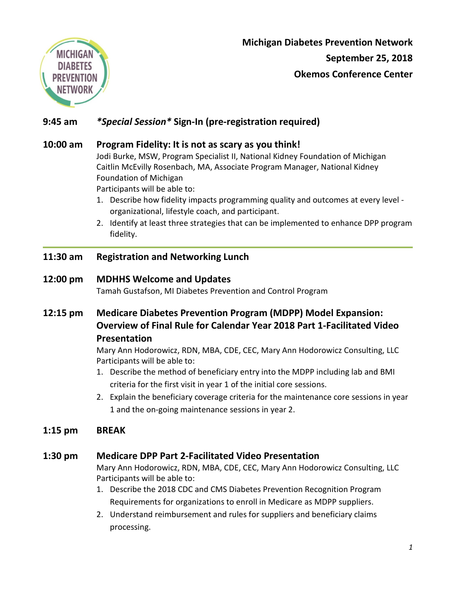

**Michigan Diabetes Prevention Network September 25, 2018 Okemos Conference Center**

# **9:45 am** *\*Special Session\** **Sign-In (pre-registration required)**

### **10:00 am Program Fidelity: It is not as scary as you think!**

Jodi Burke, MSW, Program Specialist II, National Kidney Foundation of Michigan Caitlin McEvilly Rosenbach, MA, Associate Program Manager, National Kidney Foundation of Michigan

Participants will be able to:

- 1. Describe how fidelity impacts programming quality and outcomes at every level organizational, lifestyle coach, and participant.
- 2. Identify at least three strategies that can be implemented to enhance DPP program fidelity.

## **11:30 am Registration and Networking Lunch**

#### **12:00 pm MDHHS Welcome and Updates**

Tamah Gustafson, MI Diabetes Prevention and Control Program

**12:15 pm Medicare Diabetes Prevention Program (MDPP) Model Expansion: Overview of Final Rule for Calendar Year 2018 Part 1-Facilitated Video Presentation**

> Mary Ann Hodorowicz, RDN, MBA, CDE, CEC, Mary Ann Hodorowicz Consulting, LLC Participants will be able to:

- 1. Describe the method of beneficiary entry into the MDPP including lab and BMI criteria for the first visit in year 1 of the initial core sessions.
- 2. Explain the beneficiary coverage criteria for the maintenance core sessions in year 1 and the on-going maintenance sessions in year 2.

## **1:15 pm BREAK**

## **1:30 pm Medicare DPP Part 2-Facilitated Video Presentation**

Mary Ann Hodorowicz, RDN, MBA, CDE, CEC, Mary Ann Hodorowicz Consulting, LLC Participants will be able to:

- 1. Describe the 2018 CDC and CMS Diabetes Prevention Recognition Program Requirements for organizations to enroll in Medicare as MDPP suppliers.
- 2. Understand reimbursement and rules for suppliers and beneficiary claims processing.